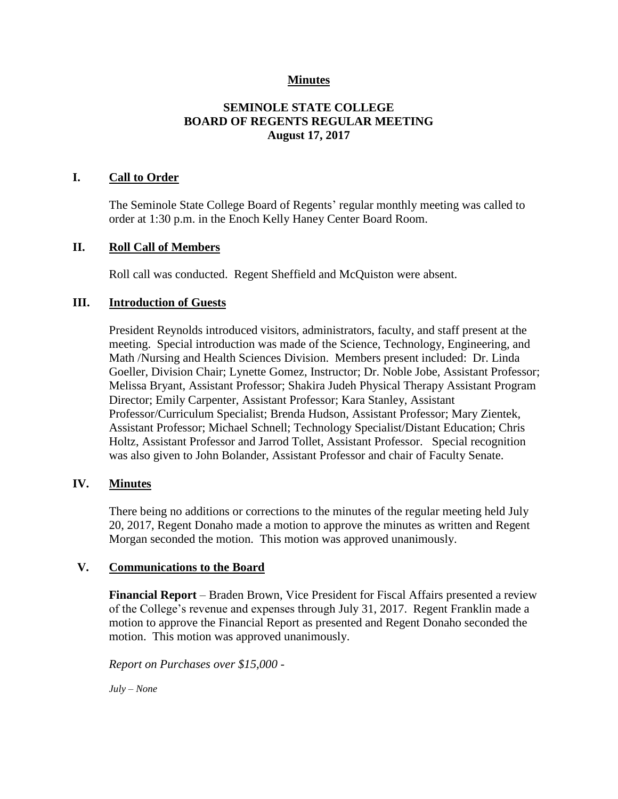#### **Minutes**

#### **SEMINOLE STATE COLLEGE BOARD OF REGENTS REGULAR MEETING August 17, 2017**

#### **I. Call to Order**

The Seminole State College Board of Regents' regular monthly meeting was called to order at 1:30 p.m. in the Enoch Kelly Haney Center Board Room.

#### **II. Roll Call of Members**

Roll call was conducted. Regent Sheffield and McQuiston were absent.

#### **III. Introduction of Guests**

President Reynolds introduced visitors, administrators, faculty, and staff present at the meeting. Special introduction was made of the Science, Technology, Engineering, and Math /Nursing and Health Sciences Division. Members present included: Dr. Linda Goeller, Division Chair; Lynette Gomez, Instructor; Dr. Noble Jobe, Assistant Professor; Melissa Bryant, Assistant Professor; Shakira Judeh Physical Therapy Assistant Program Director; Emily Carpenter, Assistant Professor; Kara Stanley, Assistant Professor/Curriculum Specialist; Brenda Hudson, Assistant Professor; Mary Zientek, Assistant Professor; Michael Schnell; Technology Specialist/Distant Education; Chris Holtz, Assistant Professor and Jarrod Tollet, Assistant Professor. Special recognition was also given to John Bolander, Assistant Professor and chair of Faculty Senate.

#### **IV. Minutes**

There being no additions or corrections to the minutes of the regular meeting held July 20, 2017, Regent Donaho made a motion to approve the minutes as written and Regent Morgan seconded the motion. This motion was approved unanimously.

#### **V. Communications to the Board**

**Financial Report** – Braden Brown, Vice President for Fiscal Affairs presented a review of the College's revenue and expenses through July 31, 2017. Regent Franklin made a motion to approve the Financial Report as presented and Regent Donaho seconded the motion. This motion was approved unanimously.

*Report on Purchases over \$15,000 -*

*July – None*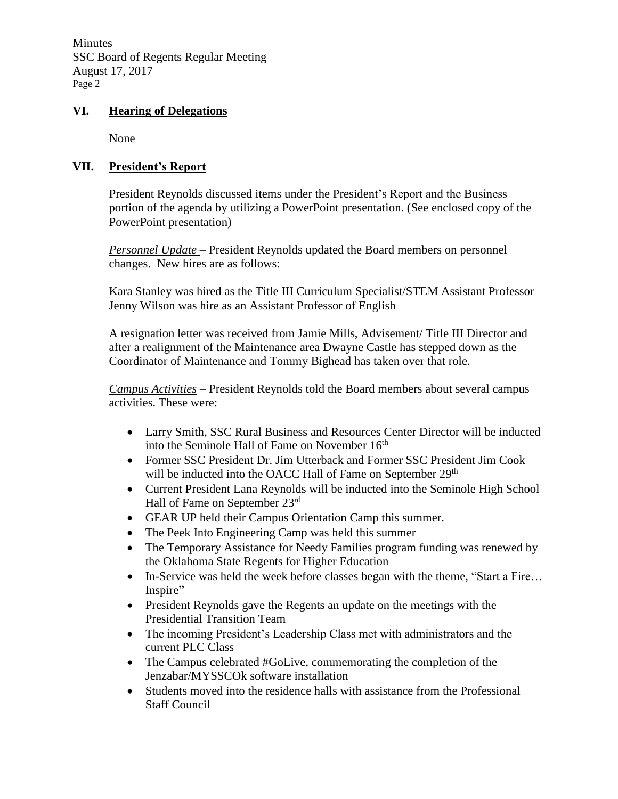**Minutes** SSC Board of Regents Regular Meeting August 17, 2017 Page 2

#### **VI. Hearing of Delegations**

None

### **VII. President's Report**

President Reynolds discussed items under the President's Report and the Business portion of the agenda by utilizing a PowerPoint presentation. (See enclosed copy of the PowerPoint presentation)

*Personnel Update* – President Reynolds updated the Board members on personnel changes. New hires are as follows:

Kara Stanley was hired as the Title III Curriculum Specialist/STEM Assistant Professor Jenny Wilson was hire as an Assistant Professor of English

A resignation letter was received from Jamie Mills, Advisement/ Title III Director and after a realignment of the Maintenance area Dwayne Castle has stepped down as the Coordinator of Maintenance and Tommy Bighead has taken over that role.

*Campus Activities* – President Reynolds told the Board members about several campus activities. These were:

- Larry Smith, SSC Rural Business and Resources Center Director will be inducted into the Seminole Hall of Fame on November 16<sup>th</sup>
- Former SSC President Dr. Jim Utterback and Former SSC President Jim Cook will be inducted into the OACC Hall of Fame on September 29<sup>th</sup>
- Current President Lana Reynolds will be inducted into the Seminole High School Hall of Fame on September 23rd
- GEAR UP held their Campus Orientation Camp this summer.
- The Peek Into Engineering Camp was held this summer
- The Temporary Assistance for Needy Families program funding was renewed by the Oklahoma State Regents for Higher Education
- In-Service was held the week before classes began with the theme, "Start a Fire... Inspire"
- President Reynolds gave the Regents an update on the meetings with the Presidential Transition Team
- The incoming President's Leadership Class met with administrators and the current PLC Class
- The Campus celebrated #GoLive, commemorating the completion of the Jenzabar/MYSSCOk software installation
- Students moved into the residence halls with assistance from the Professional Staff Council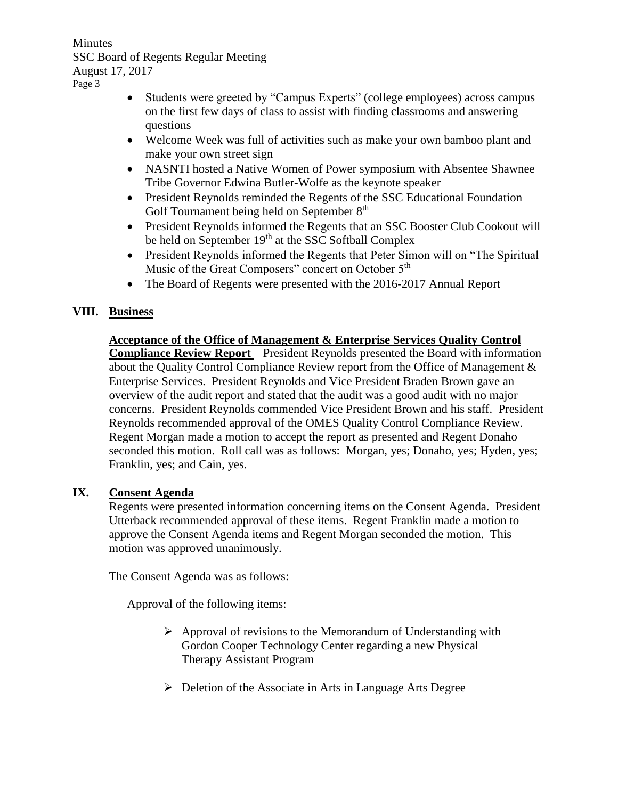Minutes SSC Board of Regents Regular Meeting August 17, 2017 Page 3

- Students were greeted by "Campus Experts" (college employees) across campus on the first few days of class to assist with finding classrooms and answering questions
- Welcome Week was full of activities such as make your own bamboo plant and make your own street sign
- NASNTI hosted a Native Women of Power symposium with Absentee Shawnee Tribe Governor Edwina Butler-Wolfe as the keynote speaker
- President Reynolds reminded the Regents of the SSC Educational Foundation Golf Tournament being held on September 8<sup>th</sup>
- President Reynolds informed the Regents that an SSC Booster Club Cookout will be held on September 19<sup>th</sup> at the SSC Softball Complex
- President Reynolds informed the Regents that Peter Simon will on "The Spiritual Music of the Great Composers" concert on October 5<sup>th</sup>
- The Board of Regents were presented with the 2016-2017 Annual Report

## **VIII. Business**

# **Acceptance of the Office of Management & Enterprise Services Quality Control**

**Compliance Review Report** – President Reynolds presented the Board with information about the Quality Control Compliance Review report from the Office of Management & Enterprise Services. President Reynolds and Vice President Braden Brown gave an overview of the audit report and stated that the audit was a good audit with no major concerns. President Reynolds commended Vice President Brown and his staff. President Reynolds recommended approval of the OMES Quality Control Compliance Review. Regent Morgan made a motion to accept the report as presented and Regent Donaho seconded this motion. Roll call was as follows: Morgan, yes; Donaho, yes; Hyden, yes; Franklin, yes; and Cain, yes.

### **IX. Consent Agenda**

Regents were presented information concerning items on the Consent Agenda. President Utterback recommended approval of these items. Regent Franklin made a motion to approve the Consent Agenda items and Regent Morgan seconded the motion. This motion was approved unanimously.

The Consent Agenda was as follows:

Approval of the following items:

- $\triangleright$  Approval of revisions to the Memorandum of Understanding with Gordon Cooper Technology Center regarding a new Physical Therapy Assistant Program
- $\triangleright$  Deletion of the Associate in Arts in Language Arts Degree